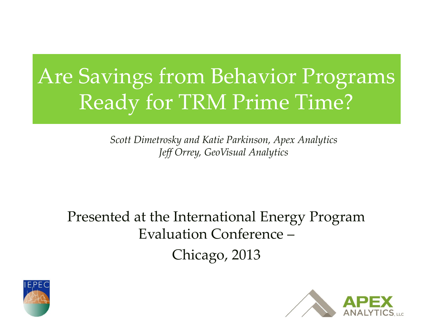# Are Savings from Behavior Programs Ready for TRM Prime Time?

*Scott Dimetrosky and Katie Parkinson, Apex Analytics Jeff Orrey, GeoVisual Analytics*

Presented at the International Energy Program Evaluation Conference – Chicago, 2013



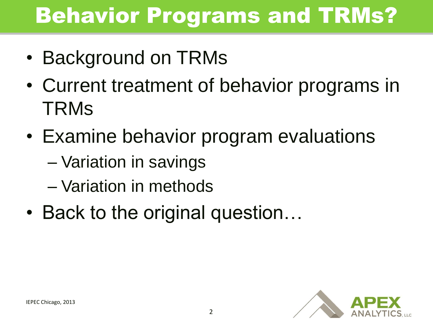# Behavior Programs and TRMs?

- Background on TRMs
- Current treatment of behavior programs in **TRMs**
- Examine behavior program evaluations
	- Variation in savings
	- Variation in methods
- Back to the original question...

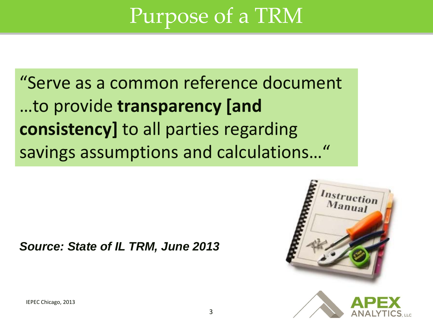### Purpose of a TRM

### "Serve as a common reference document …to provide **transparency [and consistency]** to all parties regarding savings assumptions and calculations…"

#### *Source: State of IL TRM, June 2013*





IEPEC Chicago, 2013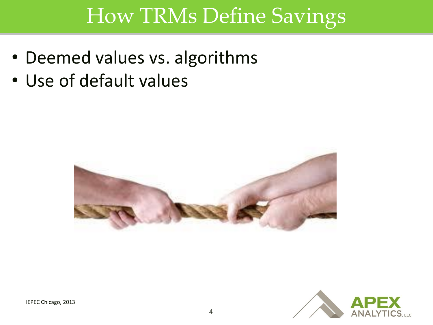### How TRMs Define Savings

- Deemed values vs. algorithms
- Use of default values



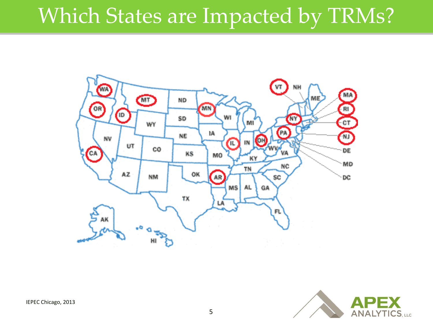## Which States are Impacted by TRMs?





IEPEC Chicago, 2013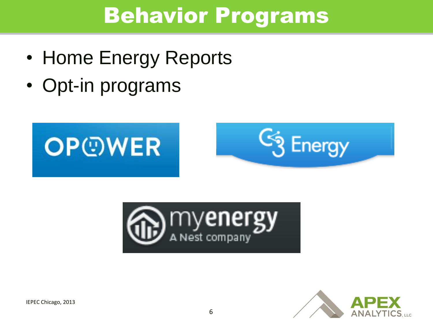### Behavior Programs

- Home Energy Reports
- Opt-in programs





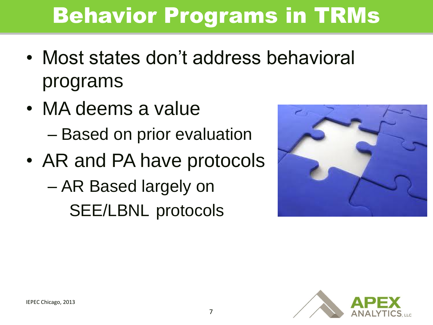# Behavior Programs in TRMs

- Most states don't address behavioral programs
- MA deems a value – Based on prior evaluation
- AR and PA have protocols – AR Based largely on SEE/LBNL protocols



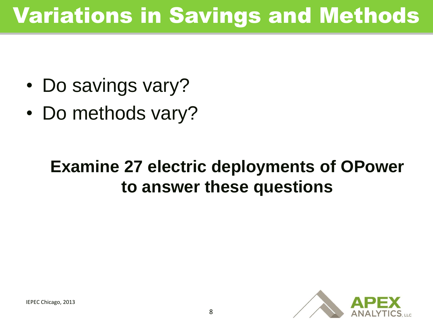# Variations in Savings and Methods

- Do savings vary?
- Do methods vary?

#### **Examine 27 electric deployments of OPower to answer these questions**

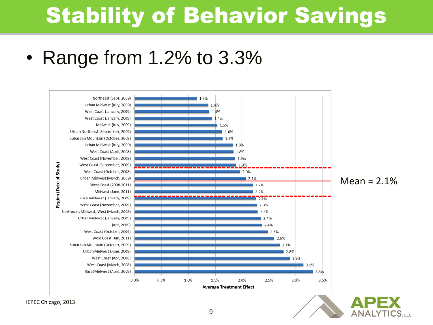# Stability of Behavior Savings

#### • Range from 1.2% to 3.3%



IEPEC Chicago, 2013

**ANALYTICS.LLC**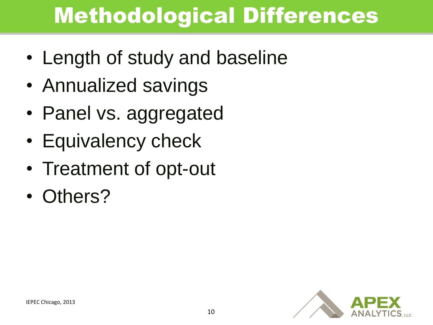# Methodological Differences

- Length of study and baseline
- Annualized savings
- Panel vs. aggregated
- Equivalency check
- Treatment of opt-out
- Others?

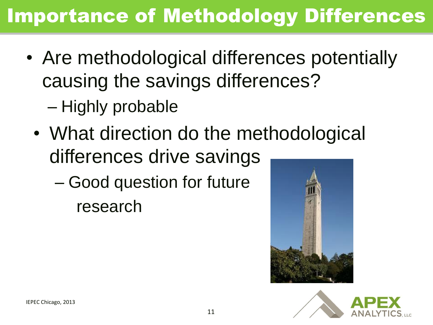### Importance of Methodology Differences

- Are methodological differences potentially causing the savings differences? – Highly probable
	- What direction do the methodological differences drive savings
		- Good question for future research



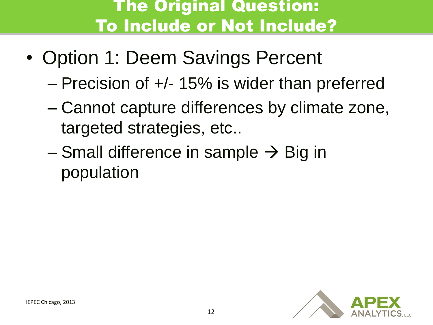#### The Original Question: To Include or Not Include?

- Option 1: Deem Savings Percent
	- Precision of +/- 15% is wider than preferred
	- Cannot capture differences by climate zone, targeted strategies, etc..
	- Small difference in sample  $\rightarrow$  Big in population

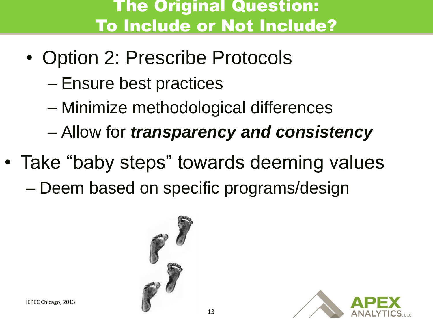#### The Original Question: To Include or Not Include?

- Option 2: Prescribe Protocols
	- Ensure best practices
	- Minimize methodological differences
	- Allow for *transparency and consistency*
- Take "baby steps" towards deeming values – Deem based on specific programs/design





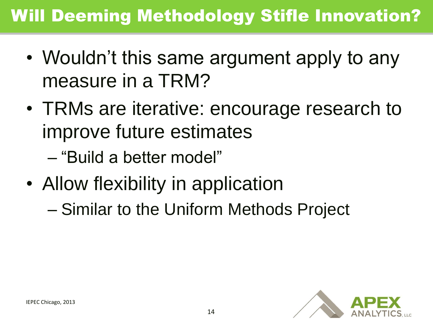#### Will Deeming Methodology Stifle Innovation?

- Wouldn't this same argument apply to any measure in a TRM?
- TRMs are iterative: encourage research to improve future estimates

– "Build a better model"

- Allow flexibility in application
	- Similar to the Uniform Methods Project

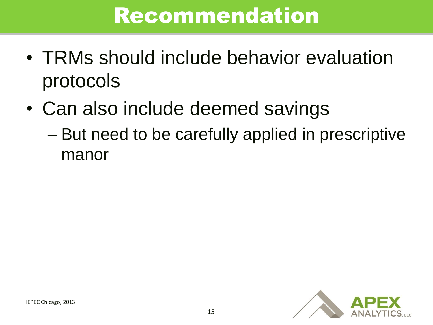### Recommendation

- TRMs should include behavior evaluation protocols
- Can also include deemed savings
	- But need to be carefully applied in prescriptive manor